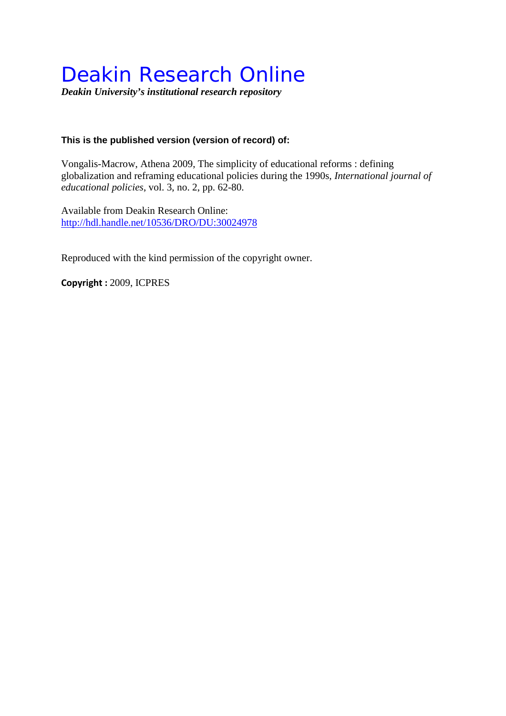# Deakin Research Online

*Deakin University's institutional research repository*

# **This is the published version (version of record) of:**

Vongalis-Macrow, Athena 2009, The simplicity of educational reforms : defining globalization and reframing educational policies during the 1990s*, International journal of educational policies*, vol. 3, no. 2, pp. 62-80.

Available from Deakin Research Online: <http://hdl.handle.net/10536/DRO/DU:30024978>

Reproduced with the kind permission of the copyright owner.

**Copyright :** 2009, ICPRES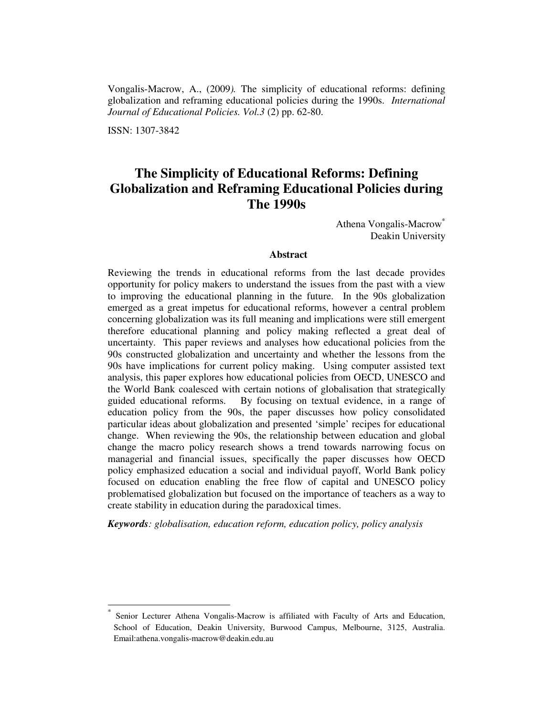Vongalis-Macrow, A., (2009*).* The simplicity of educational reforms: defining globalization and reframing educational policies during the 1990s. *International Journal of Educational Policies. Vol.3* (2) pp. 62-80.

ISSN: 1307-3842

-

# **The Simplicity of Educational Reforms: Defining Globalization and Reframing Educational Policies during The 1990s**

Athena Vongalis-Macrow<sup>\*</sup> Deakin University

## **Abstract**

Reviewing the trends in educational reforms from the last decade provides opportunity for policy makers to understand the issues from the past with a view to improving the educational planning in the future. In the 90s globalization emerged as a great impetus for educational reforms, however a central problem concerning globalization was its full meaning and implications were still emergent therefore educational planning and policy making reflected a great deal of uncertainty. This paper reviews and analyses how educational policies from the 90s constructed globalization and uncertainty and whether the lessons from the 90s have implications for current policy making. Using computer assisted text analysis, this paper explores how educational policies from OECD, UNESCO and the World Bank coalesced with certain notions of globalisation that strategically guided educational reforms. By focusing on textual evidence, in a range of education policy from the 90s, the paper discusses how policy consolidated particular ideas about globalization and presented 'simple' recipes for educational change. When reviewing the 90s, the relationship between education and global change the macro policy research shows a trend towards narrowing focus on managerial and financial issues, specifically the paper discusses how OECD policy emphasized education a social and individual payoff, World Bank policy focused on education enabling the free flow of capital and UNESCO policy problematised globalization but focused on the importance of teachers as a way to create stability in education during the paradoxical times.

*Keywords: globalisation, education reform, education policy, policy analysis* 

<sup>\*</sup> Senior Lecturer Athena Vongalis-Macrow is affiliated with Faculty of Arts and Education, School of Education, Deakin University, Burwood Campus, Melbourne, 3125, Australia. Email:athena.vongalis-macrow@deakin.edu.au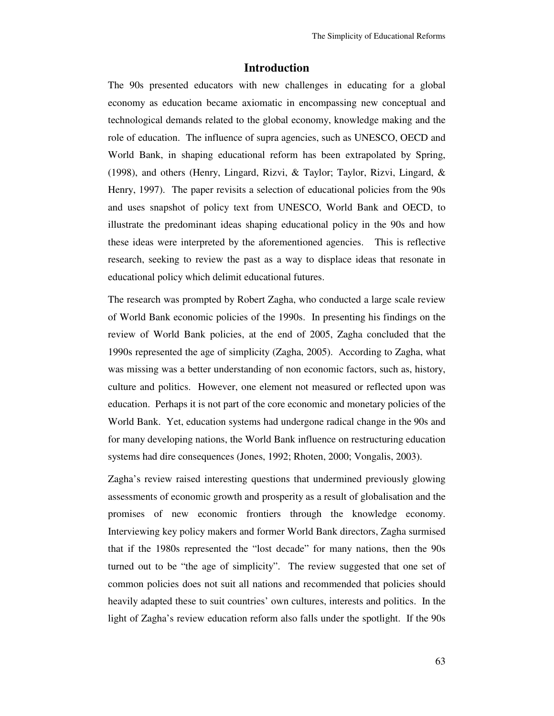#### **Introduction**

The 90s presented educators with new challenges in educating for a global economy as education became axiomatic in encompassing new conceptual and technological demands related to the global economy, knowledge making and the role of education. The influence of supra agencies, such as UNESCO, OECD and World Bank, in shaping educational reform has been extrapolated by Spring, (1998), and others (Henry, Lingard, Rizvi, & Taylor; Taylor, Rizvi, Lingard, & Henry, 1997). The paper revisits a selection of educational policies from the 90s and uses snapshot of policy text from UNESCO, World Bank and OECD, to illustrate the predominant ideas shaping educational policy in the 90s and how these ideas were interpreted by the aforementioned agencies. This is reflective research, seeking to review the past as a way to displace ideas that resonate in educational policy which delimit educational futures.

The research was prompted by Robert Zagha, who conducted a large scale review of World Bank economic policies of the 1990s. In presenting his findings on the review of World Bank policies, at the end of 2005, Zagha concluded that the 1990s represented the age of simplicity (Zagha, 2005). According to Zagha, what was missing was a better understanding of non economic factors, such as, history, culture and politics. However, one element not measured or reflected upon was education. Perhaps it is not part of the core economic and monetary policies of the World Bank. Yet, education systems had undergone radical change in the 90s and for many developing nations, the World Bank influence on restructuring education systems had dire consequences (Jones, 1992; Rhoten, 2000; Vongalis, 2003).

Zagha's review raised interesting questions that undermined previously glowing assessments of economic growth and prosperity as a result of globalisation and the promises of new economic frontiers through the knowledge economy. Interviewing key policy makers and former World Bank directors, Zagha surmised that if the 1980s represented the "lost decade" for many nations, then the 90s turned out to be "the age of simplicity". The review suggested that one set of common policies does not suit all nations and recommended that policies should heavily adapted these to suit countries' own cultures, interests and politics. In the light of Zagha's review education reform also falls under the spotlight. If the 90s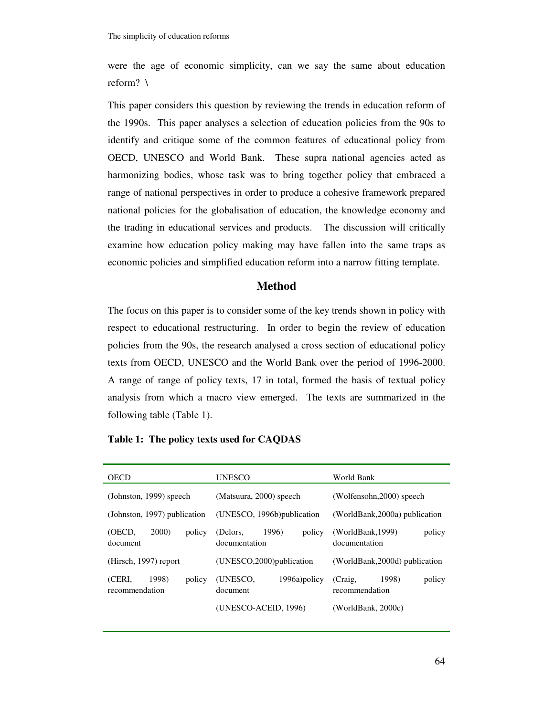were the age of economic simplicity, can we say the same about education reform? \

This paper considers this question by reviewing the trends in education reform of the 1990s. This paper analyses a selection of education policies from the 90s to identify and critique some of the common features of educational policy from OECD, UNESCO and World Bank. These supra national agencies acted as harmonizing bodies, whose task was to bring together policy that embraced a range of national perspectives in order to produce a cohesive framework prepared national policies for the globalisation of education, the knowledge economy and the trading in educational services and products. The discussion will critically examine how education policy making may have fallen into the same traps as economic policies and simplified education reform into a narrow fitting template.

# **Method**

The focus on this paper is to consider some of the key trends shown in policy with respect to educational restructuring. In order to begin the review of education policies from the 90s, the research analysed a cross section of educational policy texts from OECD, UNESCO and the World Bank over the period of 1996-2000. A range of range of policy texts, 17 in total, formed the basis of textual policy analysis from which a macro view emerged. The texts are summarized in the following table (Table 1).

#### **Table 1: The policy texts used for CAQDAS**

| <b>OECD</b>                                 | <b>UNESCO</b>                                | World Bank                                   |
|---------------------------------------------|----------------------------------------------|----------------------------------------------|
| (Johnston, 1999) speech                     | (Matsuura, 2000) speech                      | (Wolfensohn, 2000) speech                    |
| (Johnston, 1997) publication                | (UNESCO, 1996b) publication                  | (WorldBank, 2000a) publication               |
| (OECD,<br><b>2000</b><br>policy<br>document | 1996)<br>policy<br>(Delors,<br>documentation | (WorldBank, 1999)<br>policy<br>documentation |
| (Hirsch, 1997) report                       | (UNESCO, 2000) publication                   | (WorldBank, 2000d) publication               |
| (CERI.<br>1998)<br>policy<br>recommendation | (UNESCO,<br>1996a)policy<br>document         | 1998)<br>(Craig,<br>policy<br>recommendation |
|                                             | (UNESCO-ACEID, 1996)                         | (WorldBank, $2000c$ )                        |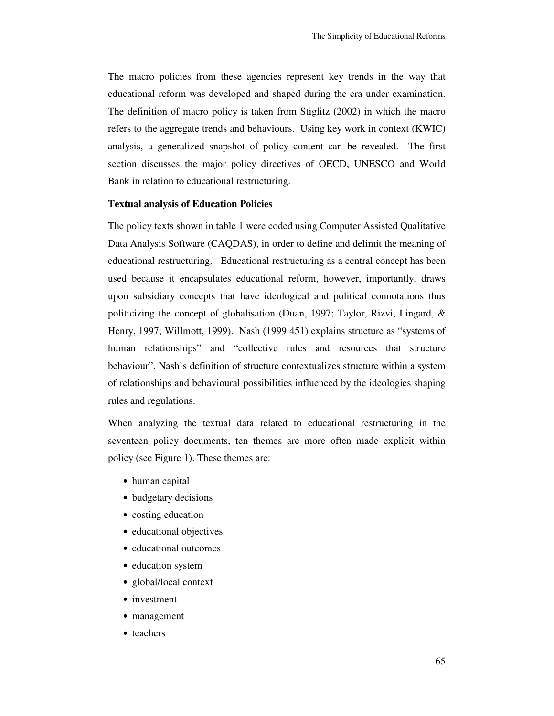The macro policies from these agencies represent key trends in the way that educational reform was developed and shaped during the era under examination. The definition of macro policy is taken from Stiglitz (2002) in which the macro refers to the aggregate trends and behaviours. Using key work in context (KWIC) analysis, a generalized snapshot of policy content can be revealed. The first section discusses the major policy directives of OECD, UNESCO and World Bank in relation to educational restructuring.

#### **Textual analysis of Education Policies**

The policy texts shown in table 1 were coded using Computer Assisted Qualitative Data Analysis Software (CAQDAS), in order to define and delimit the meaning of educational restructuring. Educational restructuring as a central concept has been used because it encapsulates educational reform, however, importantly, draws upon subsidiary concepts that have ideological and political connotations thus politicizing the concept of globalisation (Duan, 1997; Taylor, Rizvi, Lingard, & Henry, 1997; Willmott, 1999). Nash (1999:451) explains structure as "systems of human relationships" and "collective rules and resources that structure behaviour". Nash's definition of structure contextualizes structure within a system of relationships and behavioural possibilities influenced by the ideologies shaping rules and regulations.

When analyzing the textual data related to educational restructuring in the seventeen policy documents, ten themes are more often made explicit within policy (see Figure 1). These themes are:

- human capital
- budgetary decisions
- costing education
- educational objectives
- educational outcomes
- education system
- global/local context
- investment
- management
- teachers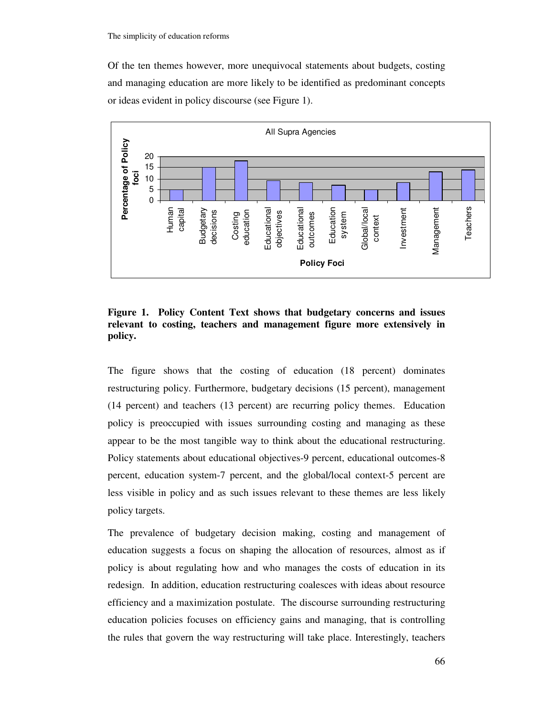Of the ten themes however, more unequivocal statements about budgets, costing and managing education are more likely to be identified as predominant concepts or ideas evident in policy discourse (see Figure 1).



**Figure 1. Policy Content Text shows that budgetary concerns and issues relevant to costing, teachers and management figure more extensively in policy.** 

The figure shows that the costing of education (18 percent) dominates restructuring policy. Furthermore, budgetary decisions (15 percent), management (14 percent) and teachers (13 percent) are recurring policy themes. Education policy is preoccupied with issues surrounding costing and managing as these appear to be the most tangible way to think about the educational restructuring. Policy statements about educational objectives-9 percent, educational outcomes-8 percent, education system-7 percent, and the global/local context-5 percent are less visible in policy and as such issues relevant to these themes are less likely policy targets.

The prevalence of budgetary decision making, costing and management of education suggests a focus on shaping the allocation of resources, almost as if policy is about regulating how and who manages the costs of education in its redesign. In addition, education restructuring coalesces with ideas about resource efficiency and a maximization postulate. The discourse surrounding restructuring education policies focuses on efficiency gains and managing, that is controlling the rules that govern the way restructuring will take place. Interestingly, teachers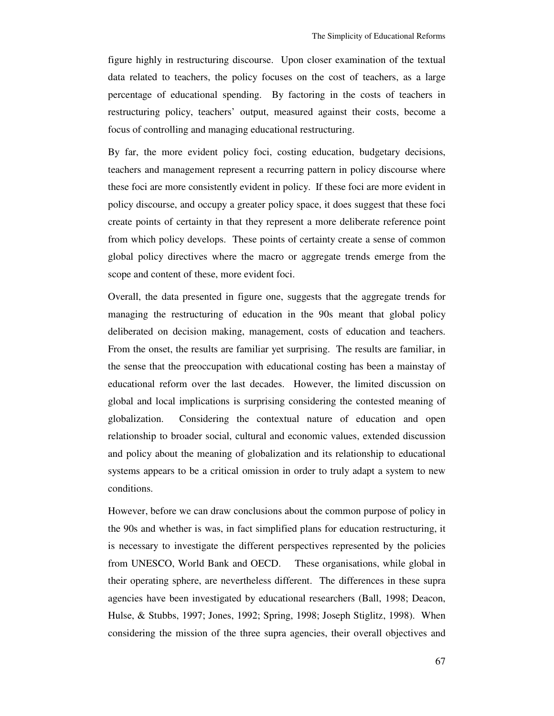figure highly in restructuring discourse. Upon closer examination of the textual data related to teachers, the policy focuses on the cost of teachers, as a large percentage of educational spending. By factoring in the costs of teachers in restructuring policy, teachers' output, measured against their costs, become a focus of controlling and managing educational restructuring.

By far, the more evident policy foci, costing education, budgetary decisions, teachers and management represent a recurring pattern in policy discourse where these foci are more consistently evident in policy. If these foci are more evident in policy discourse, and occupy a greater policy space, it does suggest that these foci create points of certainty in that they represent a more deliberate reference point from which policy develops. These points of certainty create a sense of common global policy directives where the macro or aggregate trends emerge from the scope and content of these, more evident foci.

Overall, the data presented in figure one, suggests that the aggregate trends for managing the restructuring of education in the 90s meant that global policy deliberated on decision making, management, costs of education and teachers. From the onset, the results are familiar yet surprising. The results are familiar, in the sense that the preoccupation with educational costing has been a mainstay of educational reform over the last decades. However, the limited discussion on global and local implications is surprising considering the contested meaning of globalization. Considering the contextual nature of education and open relationship to broader social, cultural and economic values, extended discussion and policy about the meaning of globalization and its relationship to educational systems appears to be a critical omission in order to truly adapt a system to new conditions.

However, before we can draw conclusions about the common purpose of policy in the 90s and whether is was, in fact simplified plans for education restructuring, it is necessary to investigate the different perspectives represented by the policies from UNESCO, World Bank and OECD. These organisations, while global in their operating sphere, are nevertheless different. The differences in these supra agencies have been investigated by educational researchers (Ball, 1998; Deacon, Hulse, & Stubbs, 1997; Jones, 1992; Spring, 1998; Joseph Stiglitz, 1998). When considering the mission of the three supra agencies, their overall objectives and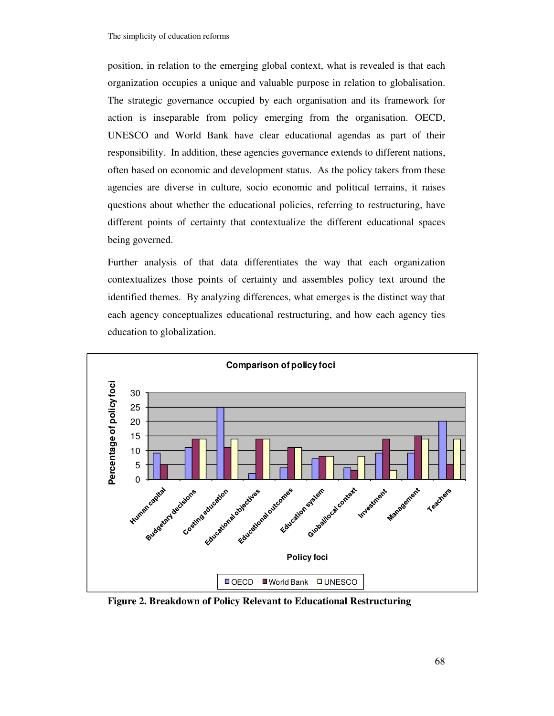position, in relation to the emerging global context, what is revealed is that each organization occupies a unique and valuable purpose in relation to globalisation. The strategic governance occupied by each organisation and its framework for action is inseparable from policy emerging from the organisation. OECD, UNESCO and World Bank have clear educational agendas as part of their responsibility. In addition, these agencies governance extends to different nations, often based on economic and development status. As the policy takers from these agencies are diverse in culture, socio economic and political terrains, it raises questions about whether the educational policies, referring to restructuring, have different points of certainty that contextualize the different educational spaces being governed.

Further analysis of that data differentiates the way that each organization contextualizes those points of certainty and assembles policy text around the identified themes. By analyzing differences, what emerges is the distinct way that each agency conceptualizes educational restructuring, and how each agency ties education to globalization.



**Figure 2. Breakdown of Policy Relevant to Educational Restructuring**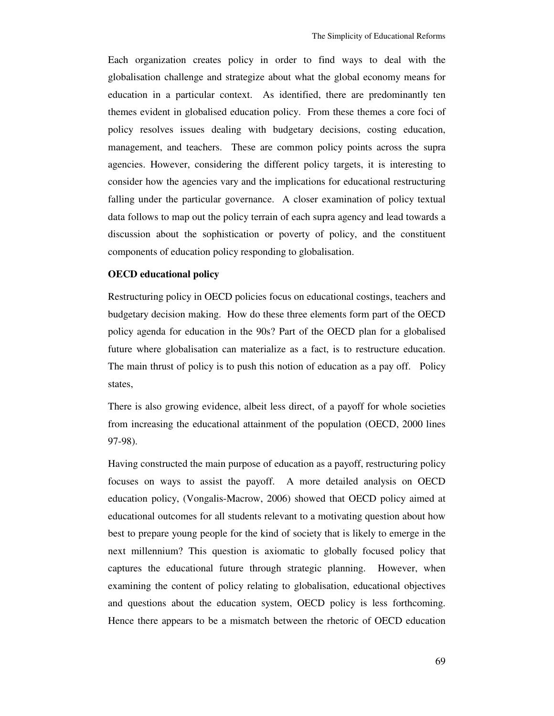Each organization creates policy in order to find ways to deal with the globalisation challenge and strategize about what the global economy means for education in a particular context. As identified, there are predominantly ten themes evident in globalised education policy. From these themes a core foci of policy resolves issues dealing with budgetary decisions, costing education, management, and teachers. These are common policy points across the supra agencies. However, considering the different policy targets, it is interesting to consider how the agencies vary and the implications for educational restructuring falling under the particular governance. A closer examination of policy textual data follows to map out the policy terrain of each supra agency and lead towards a discussion about the sophistication or poverty of policy, and the constituent components of education policy responding to globalisation.

#### **OECD educational policy**

Restructuring policy in OECD policies focus on educational costings, teachers and budgetary decision making. How do these three elements form part of the OECD policy agenda for education in the 90s? Part of the OECD plan for a globalised future where globalisation can materialize as a fact, is to restructure education. The main thrust of policy is to push this notion of education as a pay off. Policy states,

There is also growing evidence, albeit less direct, of a payoff for whole societies from increasing the educational attainment of the population (OECD, 2000 lines 97-98).

Having constructed the main purpose of education as a payoff, restructuring policy focuses on ways to assist the payoff. A more detailed analysis on OECD education policy, (Vongalis-Macrow, 2006) showed that OECD policy aimed at educational outcomes for all students relevant to a motivating question about how best to prepare young people for the kind of society that is likely to emerge in the next millennium? This question is axiomatic to globally focused policy that captures the educational future through strategic planning. However, when examining the content of policy relating to globalisation, educational objectives and questions about the education system, OECD policy is less forthcoming. Hence there appears to be a mismatch between the rhetoric of OECD education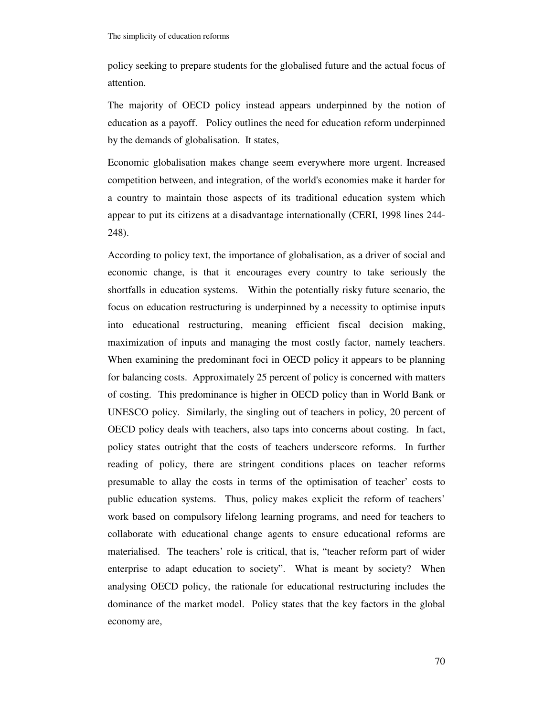policy seeking to prepare students for the globalised future and the actual focus of attention.

The majority of OECD policy instead appears underpinned by the notion of education as a payoff. Policy outlines the need for education reform underpinned by the demands of globalisation. It states,

Economic globalisation makes change seem everywhere more urgent. Increased competition between, and integration, of the world's economies make it harder for a country to maintain those aspects of its traditional education system which appear to put its citizens at a disadvantage internationally (CERI, 1998 lines 244- 248).

According to policy text, the importance of globalisation, as a driver of social and economic change, is that it encourages every country to take seriously the shortfalls in education systems. Within the potentially risky future scenario, the focus on education restructuring is underpinned by a necessity to optimise inputs into educational restructuring, meaning efficient fiscal decision making, maximization of inputs and managing the most costly factor, namely teachers. When examining the predominant foci in OECD policy it appears to be planning for balancing costs. Approximately 25 percent of policy is concerned with matters of costing. This predominance is higher in OECD policy than in World Bank or UNESCO policy. Similarly, the singling out of teachers in policy, 20 percent of OECD policy deals with teachers, also taps into concerns about costing. In fact, policy states outright that the costs of teachers underscore reforms. In further reading of policy, there are stringent conditions places on teacher reforms presumable to allay the costs in terms of the optimisation of teacher' costs to public education systems. Thus, policy makes explicit the reform of teachers' work based on compulsory lifelong learning programs, and need for teachers to collaborate with educational change agents to ensure educational reforms are materialised. The teachers' role is critical, that is, "teacher reform part of wider enterprise to adapt education to society". What is meant by society? When analysing OECD policy, the rationale for educational restructuring includes the dominance of the market model. Policy states that the key factors in the global economy are,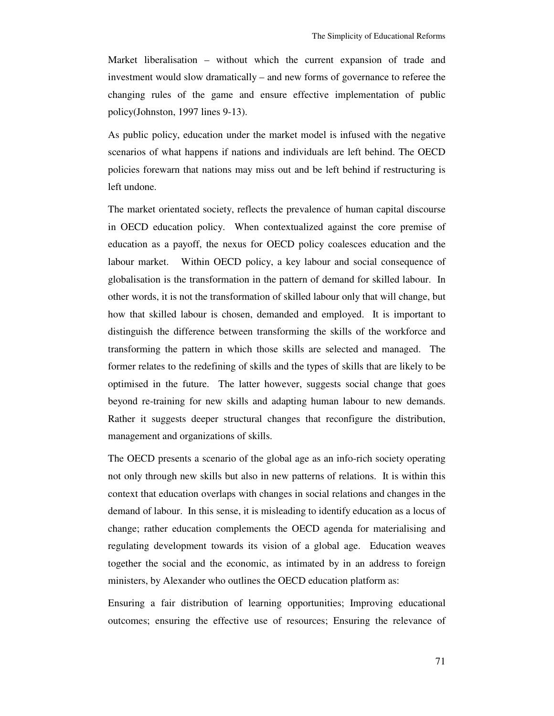Market liberalisation – without which the current expansion of trade and investment would slow dramatically – and new forms of governance to referee the changing rules of the game and ensure effective implementation of public policy(Johnston, 1997 lines 9-13).

As public policy, education under the market model is infused with the negative scenarios of what happens if nations and individuals are left behind. The OECD policies forewarn that nations may miss out and be left behind if restructuring is left undone.

The market orientated society, reflects the prevalence of human capital discourse in OECD education policy. When contextualized against the core premise of education as a payoff, the nexus for OECD policy coalesces education and the labour market. Within OECD policy, a key labour and social consequence of globalisation is the transformation in the pattern of demand for skilled labour. In other words, it is not the transformation of skilled labour only that will change, but how that skilled labour is chosen, demanded and employed. It is important to distinguish the difference between transforming the skills of the workforce and transforming the pattern in which those skills are selected and managed. The former relates to the redefining of skills and the types of skills that are likely to be optimised in the future. The latter however, suggests social change that goes beyond re-training for new skills and adapting human labour to new demands. Rather it suggests deeper structural changes that reconfigure the distribution, management and organizations of skills.

The OECD presents a scenario of the global age as an info-rich society operating not only through new skills but also in new patterns of relations. It is within this context that education overlaps with changes in social relations and changes in the demand of labour. In this sense, it is misleading to identify education as a locus of change; rather education complements the OECD agenda for materialising and regulating development towards its vision of a global age. Education weaves together the social and the economic, as intimated by in an address to foreign ministers, by Alexander who outlines the OECD education platform as:

Ensuring a fair distribution of learning opportunities; Improving educational outcomes; ensuring the effective use of resources; Ensuring the relevance of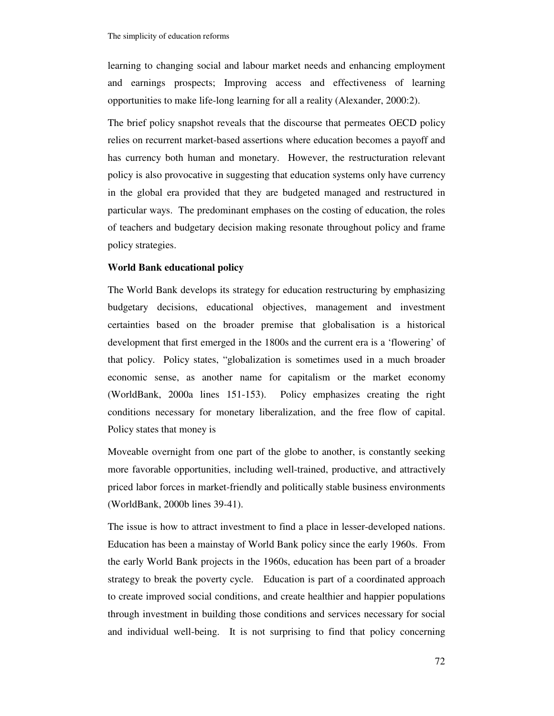learning to changing social and labour market needs and enhancing employment and earnings prospects; Improving access and effectiveness of learning opportunities to make life-long learning for all a reality (Alexander, 2000:2).

The brief policy snapshot reveals that the discourse that permeates OECD policy relies on recurrent market-based assertions where education becomes a payoff and has currency both human and monetary. However, the restructuration relevant policy is also provocative in suggesting that education systems only have currency in the global era provided that they are budgeted managed and restructured in particular ways. The predominant emphases on the costing of education, the roles of teachers and budgetary decision making resonate throughout policy and frame policy strategies.

#### **World Bank educational policy**

The World Bank develops its strategy for education restructuring by emphasizing budgetary decisions, educational objectives, management and investment certainties based on the broader premise that globalisation is a historical development that first emerged in the 1800s and the current era is a 'flowering' of that policy. Policy states, "globalization is sometimes used in a much broader economic sense, as another name for capitalism or the market economy (WorldBank, 2000a lines 151-153). Policy emphasizes creating the right conditions necessary for monetary liberalization, and the free flow of capital. Policy states that money is

Moveable overnight from one part of the globe to another, is constantly seeking more favorable opportunities, including well-trained, productive, and attractively priced labor forces in market-friendly and politically stable business environments (WorldBank, 2000b lines 39-41).

The issue is how to attract investment to find a place in lesser-developed nations. Education has been a mainstay of World Bank policy since the early 1960s. From the early World Bank projects in the 1960s, education has been part of a broader strategy to break the poverty cycle. Education is part of a coordinated approach to create improved social conditions, and create healthier and happier populations through investment in building those conditions and services necessary for social and individual well-being. It is not surprising to find that policy concerning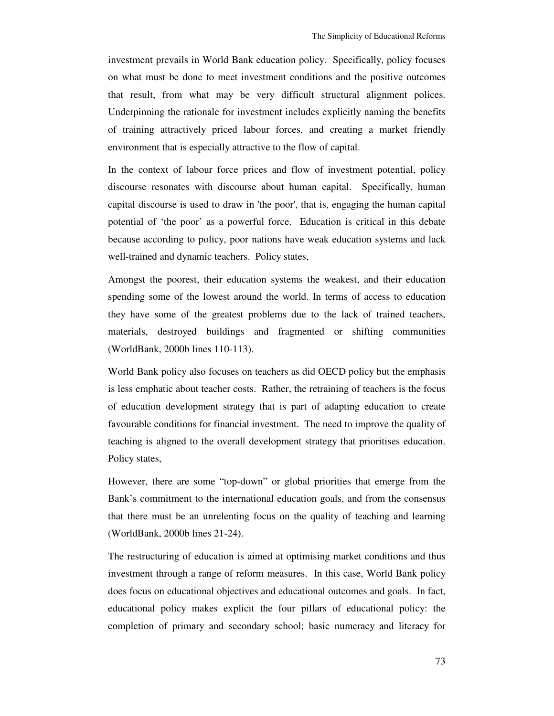investment prevails in World Bank education policy. Specifically, policy focuses on what must be done to meet investment conditions and the positive outcomes that result, from what may be very difficult structural alignment polices. Underpinning the rationale for investment includes explicitly naming the benefits of training attractively priced labour forces, and creating a market friendly environment that is especially attractive to the flow of capital.

In the context of labour force prices and flow of investment potential, policy discourse resonates with discourse about human capital. Specifically, human capital discourse is used to draw in 'the poor', that is, engaging the human capital potential of 'the poor' as a powerful force. Education is critical in this debate because according to policy, poor nations have weak education systems and lack well-trained and dynamic teachers. Policy states,

Amongst the poorest, their education systems the weakest, and their education spending some of the lowest around the world. In terms of access to education they have some of the greatest problems due to the lack of trained teachers, materials, destroyed buildings and fragmented or shifting communities (WorldBank, 2000b lines 110-113).

World Bank policy also focuses on teachers as did OECD policy but the emphasis is less emphatic about teacher costs. Rather, the retraining of teachers is the focus of education development strategy that is part of adapting education to create favourable conditions for financial investment. The need to improve the quality of teaching is aligned to the overall development strategy that prioritises education. Policy states,

However, there are some "top-down" or global priorities that emerge from the Bank's commitment to the international education goals, and from the consensus that there must be an unrelenting focus on the quality of teaching and learning (WorldBank, 2000b lines 21-24).

The restructuring of education is aimed at optimising market conditions and thus investment through a range of reform measures. In this case, World Bank policy does focus on educational objectives and educational outcomes and goals. In fact, educational policy makes explicit the four pillars of educational policy: the completion of primary and secondary school; basic numeracy and literacy for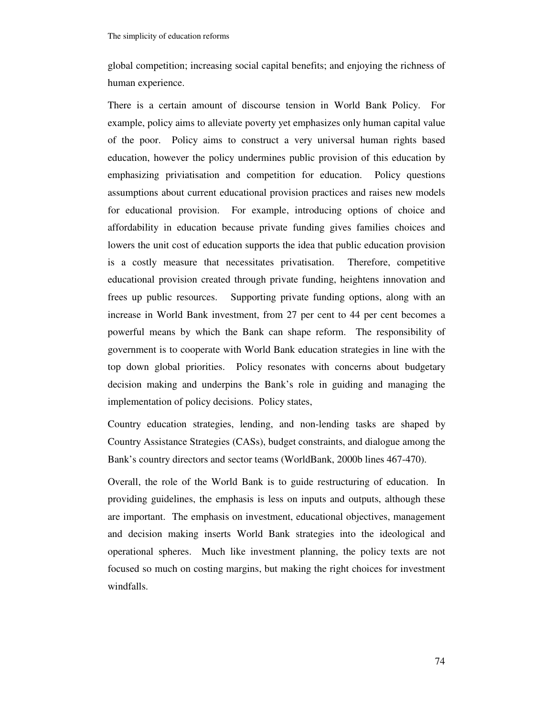global competition; increasing social capital benefits; and enjoying the richness of human experience.

There is a certain amount of discourse tension in World Bank Policy. For example, policy aims to alleviate poverty yet emphasizes only human capital value of the poor. Policy aims to construct a very universal human rights based education, however the policy undermines public provision of this education by emphasizing priviatisation and competition for education. Policy questions assumptions about current educational provision practices and raises new models for educational provision. For example, introducing options of choice and affordability in education because private funding gives families choices and lowers the unit cost of education supports the idea that public education provision is a costly measure that necessitates privatisation. Therefore, competitive educational provision created through private funding, heightens innovation and frees up public resources. Supporting private funding options, along with an increase in World Bank investment, from 27 per cent to 44 per cent becomes a powerful means by which the Bank can shape reform. The responsibility of government is to cooperate with World Bank education strategies in line with the top down global priorities. Policy resonates with concerns about budgetary decision making and underpins the Bank's role in guiding and managing the implementation of policy decisions. Policy states,

Country education strategies, lending, and non-lending tasks are shaped by Country Assistance Strategies (CASs), budget constraints, and dialogue among the Bank's country directors and sector teams (WorldBank, 2000b lines 467-470).

Overall, the role of the World Bank is to guide restructuring of education. In providing guidelines, the emphasis is less on inputs and outputs, although these are important. The emphasis on investment, educational objectives, management and decision making inserts World Bank strategies into the ideological and operational spheres. Much like investment planning, the policy texts are not focused so much on costing margins, but making the right choices for investment windfalls.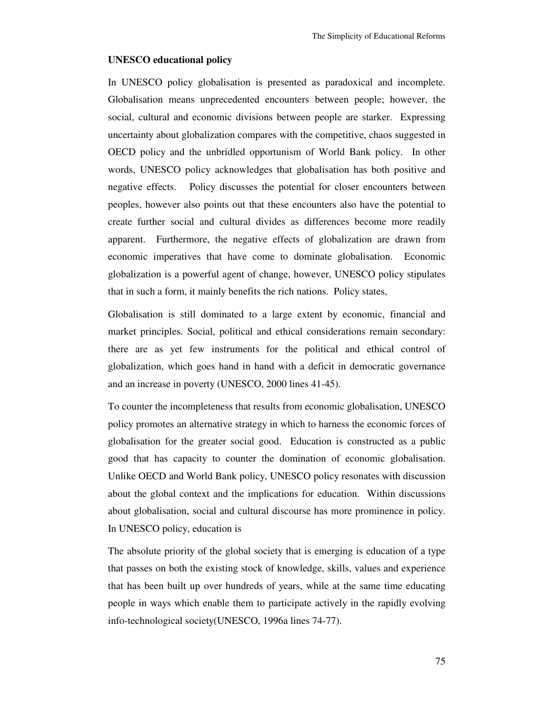#### **UNESCO educational policy**

In UNESCO policy globalisation is presented as paradoxical and incomplete. Globalisation means unprecedented encounters between people; however, the social, cultural and economic divisions between people are starker. Expressing uncertainty about globalization compares with the competitive, chaos suggested in OECD policy and the unbridled opportunism of World Bank policy. In other words, UNESCO policy acknowledges that globalisation has both positive and negative effects. Policy discusses the potential for closer encounters between peoples, however also points out that these encounters also have the potential to create further social and cultural divides as differences become more readily apparent. Furthermore, the negative effects of globalization are drawn from economic imperatives that have come to dominate globalisation. Economic globalization is a powerful agent of change, however, UNESCO policy stipulates that in such a form, it mainly benefits the rich nations. Policy states,

Globalisation is still dominated to a large extent by economic, financial and market principles. Social, political and ethical considerations remain secondary: there are as yet few instruments for the political and ethical control of globalization, which goes hand in hand with a deficit in democratic governance and an increase in poverty (UNESCO, 2000 lines 41-45).

To counter the incompleteness that results from economic globalisation, UNESCO policy promotes an alternative strategy in which to harness the economic forces of globalisation for the greater social good. Education is constructed as a public good that has capacity to counter the domination of economic globalisation. Unlike OECD and World Bank policy, UNESCO policy resonates with discussion about the global context and the implications for education. Within discussions about globalisation, social and cultural discourse has more prominence in policy. In UNESCO policy, education is

The absolute priority of the global society that is emerging is education of a type that passes on both the existing stock of knowledge, skills, values and experience that has been built up over hundreds of years, while at the same time educating people in ways which enable them to participate actively in the rapidly evolving info-technological society(UNESCO, 1996a lines 74-77).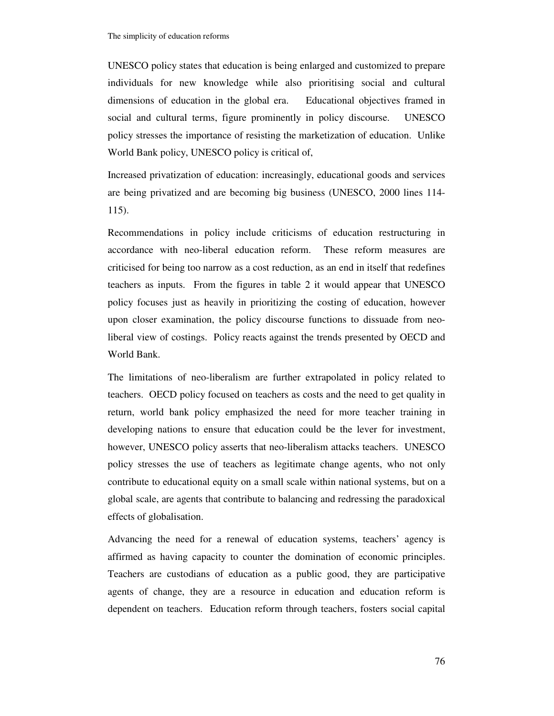UNESCO policy states that education is being enlarged and customized to prepare individuals for new knowledge while also prioritising social and cultural dimensions of education in the global era. Educational objectives framed in social and cultural terms, figure prominently in policy discourse. UNESCO policy stresses the importance of resisting the marketization of education. Unlike World Bank policy, UNESCO policy is critical of,

Increased privatization of education: increasingly, educational goods and services are being privatized and are becoming big business (UNESCO, 2000 lines 114- 115).

Recommendations in policy include criticisms of education restructuring in accordance with neo-liberal education reform. These reform measures are criticised for being too narrow as a cost reduction, as an end in itself that redefines teachers as inputs. From the figures in table 2 it would appear that UNESCO policy focuses just as heavily in prioritizing the costing of education, however upon closer examination, the policy discourse functions to dissuade from neoliberal view of costings. Policy reacts against the trends presented by OECD and World Bank.

The limitations of neo-liberalism are further extrapolated in policy related to teachers. OECD policy focused on teachers as costs and the need to get quality in return, world bank policy emphasized the need for more teacher training in developing nations to ensure that education could be the lever for investment, however, UNESCO policy asserts that neo-liberalism attacks teachers. UNESCO policy stresses the use of teachers as legitimate change agents, who not only contribute to educational equity on a small scale within national systems, but on a global scale, are agents that contribute to balancing and redressing the paradoxical effects of globalisation.

Advancing the need for a renewal of education systems, teachers' agency is affirmed as having capacity to counter the domination of economic principles. Teachers are custodians of education as a public good, they are participative agents of change, they are a resource in education and education reform is dependent on teachers. Education reform through teachers, fosters social capital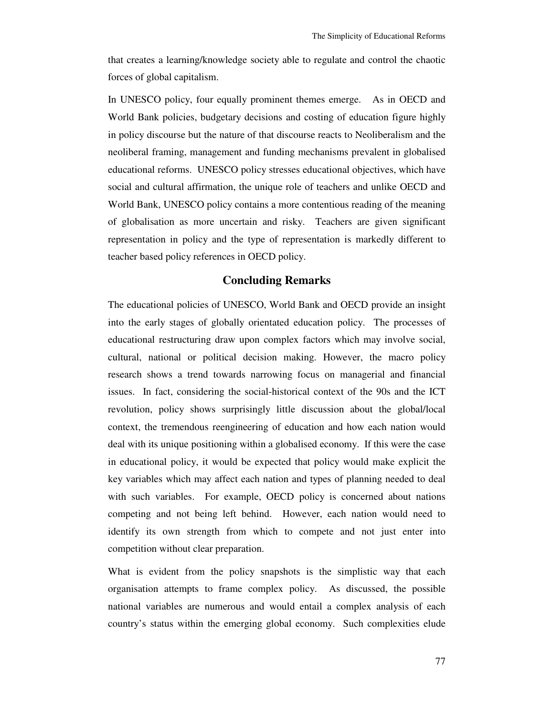that creates a learning/knowledge society able to regulate and control the chaotic forces of global capitalism.

In UNESCO policy, four equally prominent themes emerge. As in OECD and World Bank policies, budgetary decisions and costing of education figure highly in policy discourse but the nature of that discourse reacts to Neoliberalism and the neoliberal framing, management and funding mechanisms prevalent in globalised educational reforms. UNESCO policy stresses educational objectives, which have social and cultural affirmation, the unique role of teachers and unlike OECD and World Bank, UNESCO policy contains a more contentious reading of the meaning of globalisation as more uncertain and risky. Teachers are given significant representation in policy and the type of representation is markedly different to teacher based policy references in OECD policy.

## **Concluding Remarks**

The educational policies of UNESCO, World Bank and OECD provide an insight into the early stages of globally orientated education policy. The processes of educational restructuring draw upon complex factors which may involve social, cultural, national or political decision making. However, the macro policy research shows a trend towards narrowing focus on managerial and financial issues. In fact, considering the social-historical context of the 90s and the ICT revolution, policy shows surprisingly little discussion about the global/local context, the tremendous reengineering of education and how each nation would deal with its unique positioning within a globalised economy. If this were the case in educational policy, it would be expected that policy would make explicit the key variables which may affect each nation and types of planning needed to deal with such variables. For example, OECD policy is concerned about nations competing and not being left behind. However, each nation would need to identify its own strength from which to compete and not just enter into competition without clear preparation.

What is evident from the policy snapshots is the simplistic way that each organisation attempts to frame complex policy. As discussed, the possible national variables are numerous and would entail a complex analysis of each country's status within the emerging global economy. Such complexities elude

77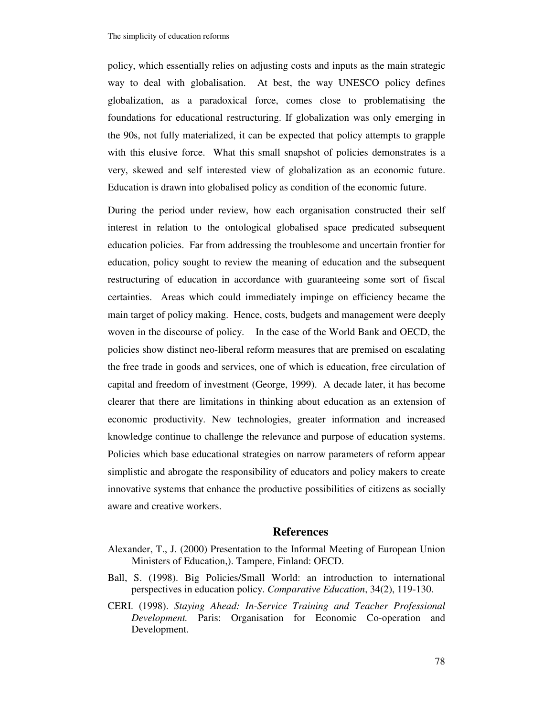policy, which essentially relies on adjusting costs and inputs as the main strategic way to deal with globalisation. At best, the way UNESCO policy defines globalization, as a paradoxical force, comes close to problematising the foundations for educational restructuring. If globalization was only emerging in the 90s, not fully materialized, it can be expected that policy attempts to grapple with this elusive force. What this small snapshot of policies demonstrates is a very, skewed and self interested view of globalization as an economic future. Education is drawn into globalised policy as condition of the economic future.

During the period under review, how each organisation constructed their self interest in relation to the ontological globalised space predicated subsequent education policies. Far from addressing the troublesome and uncertain frontier for education, policy sought to review the meaning of education and the subsequent restructuring of education in accordance with guaranteeing some sort of fiscal certainties. Areas which could immediately impinge on efficiency became the main target of policy making. Hence, costs, budgets and management were deeply woven in the discourse of policy. In the case of the World Bank and OECD, the policies show distinct neo-liberal reform measures that are premised on escalating the free trade in goods and services, one of which is education, free circulation of capital and freedom of investment (George, 1999). A decade later, it has become clearer that there are limitations in thinking about education as an extension of economic productivity. New technologies, greater information and increased knowledge continue to challenge the relevance and purpose of education systems. Policies which base educational strategies on narrow parameters of reform appear simplistic and abrogate the responsibility of educators and policy makers to create innovative systems that enhance the productive possibilities of citizens as socially aware and creative workers.

#### **References**

- Alexander, T., J. (2000) Presentation to the Informal Meeting of European Union Ministers of Education,). Tampere, Finland: OECD.
- Ball, S. (1998). Big Policies/Small World: an introduction to international perspectives in education policy. *Comparative Education*, 34(2), 119-130.
- CERI. (1998). *Staying Ahead: In-Service Training and Teacher Professional Development.* Paris: Organisation for Economic Co-operation and Development.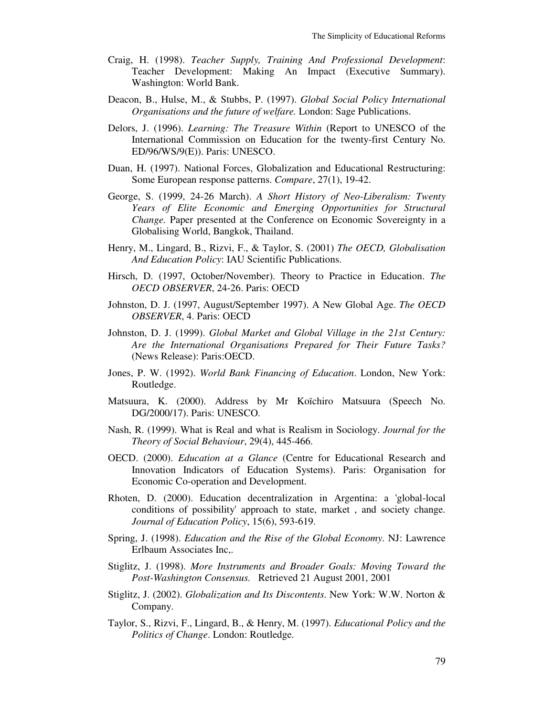- Craig, H. (1998). *Teacher Supply, Training And Professional Development*: Teacher Development: Making An Impact (Executive Summary). Washington: World Bank.
- Deacon, B., Hulse, M., & Stubbs, P. (1997). *Global Social Policy International Organisations and the future of welfare.* London: Sage Publications.
- Delors, J. (1996). *Learning: The Treasure Within* (Report to UNESCO of the International Commission on Education for the twenty-first Century No. ED/96/WS/9(E)). Paris: UNESCO.
- Duan, H. (1997). National Forces, Globalization and Educational Restructuring: Some European response patterns. *Compare*, 27(1), 19-42.
- George, S. (1999, 24-26 March). *A Short History of Neo-Liberalism: Twenty Years of Elite Economic and Emerging Opportunities for Structural Change.* Paper presented at the Conference on Economic Sovereignty in a Globalising World, Bangkok, Thailand.
- Henry, M., Lingard, B., Rizvi, F., & Taylor, S. (2001) *The OECD, Globalisation And Education Policy*: IAU Scientific Publications.
- Hirsch, D. (1997, October/November). Theory to Practice in Education. *The OECD OBSERVER*, 24-26. Paris: OECD
- Johnston, D. J. (1997, August/September 1997). A New Global Age. *The OECD OBSERVER*, 4. Paris: OECD
- Johnston, D. J. (1999). *Global Market and Global Village in the 21st Century: Are the International Organisations Prepared for Their Future Tasks?* (News Release): Paris:OECD.
- Jones, P. W. (1992). *World Bank Financing of Education*. London, New York: Routledge.
- Matsuura, K. (2000). Address by Mr Koïchiro Matsuura (Speech No. DG/2000/17). Paris: UNESCO.
- Nash, R. (1999). What is Real and what is Realism in Sociology. *Journal for the Theory of Social Behaviour*, 29(4), 445-466.
- OECD. (2000). *Education at a Glance* (Centre for Educational Research and Innovation Indicators of Education Systems). Paris: Organisation for Economic Co-operation and Development.
- Rhoten, D. (2000). Education decentralization in Argentina: a 'global-local conditions of possibility' approach to state, market , and society change. *Journal of Education Policy*, 15(6), 593-619.
- Spring, J. (1998). *Education and the Rise of the Global Economy*. NJ: Lawrence Erlbaum Associates Inc,.
- Stiglitz, J. (1998). *More Instruments and Broader Goals: Moving Toward the Post-Washington Consensus.* Retrieved 21 August 2001, 2001
- Stiglitz, J. (2002). *Globalization and Its Discontents*. New York: W.W. Norton & Company.
- Taylor, S., Rizvi, F., Lingard, B., & Henry, M. (1997). *Educational Policy and the Politics of Change*. London: Routledge.